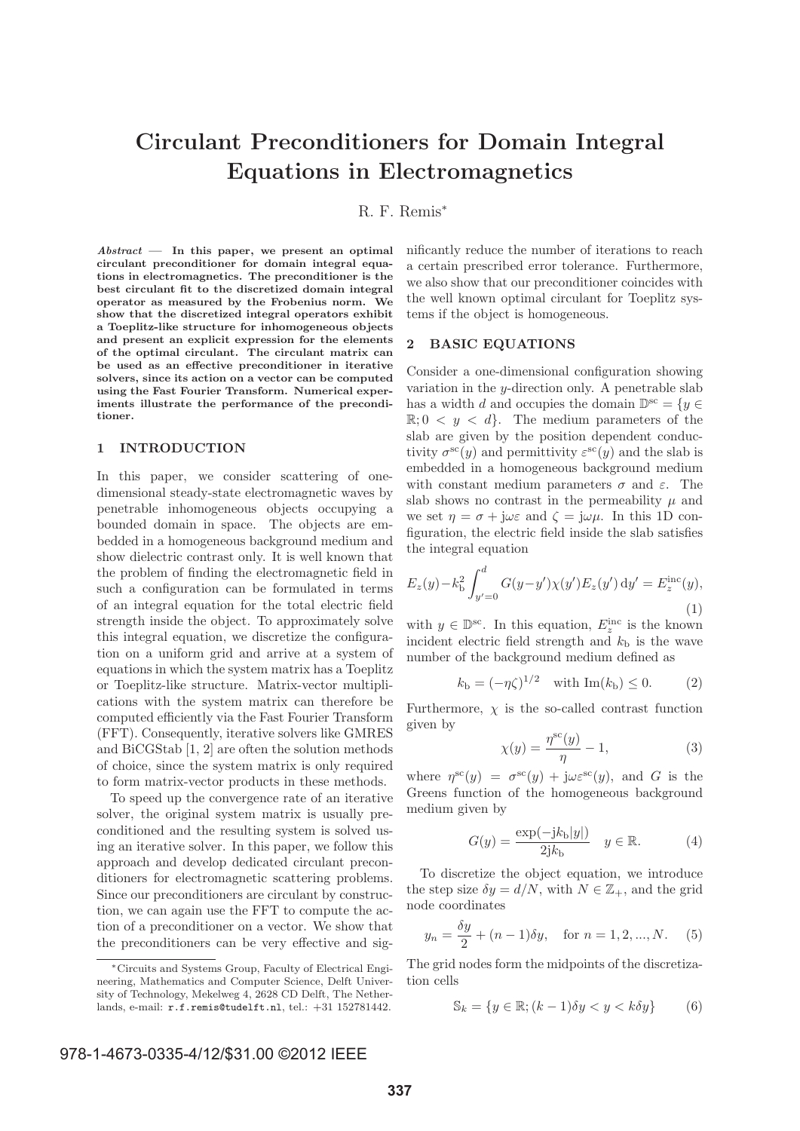# **Circulant Preconditioners for Domain Integral Equations in Electromagnetics**

R. F. Remis<sup>∗</sup>

*Abstract* **— In this paper, we present an optimal circulant preconditioner for domain integral equations in electromagnetics. The preconditioner is the best circulant fit to the discretized domain integral operator as measured by the Frobenius norm. We show that the discretized integral operators exhibit a Toeplitz-like structure for inhomogeneous objects and present an explicit expression for the elements of the optimal circulant. The circulant matrix can be used as an effective preconditioner in iterative solvers, since its action on a vector can be computed using the Fast Fourier Transform. Numerical experiments illustrate the performance of the preconditioner.**

#### **1 INTRODUCTION**

In this paper, we consider scattering of onedimensional steady-state electromagnetic waves by penetrable inhomogeneous objects occupying a bounded domain in space. The objects are embedded in a homogeneous background medium and show dielectric contrast only. It is well known that the problem of finding the electromagnetic field in such a configuration can be formulated in terms of an integral equation for the total electric field strength inside the object. To approximately solve this integral equation, we discretize the configuration on a uniform grid and arrive at a system of equations in which the system matrix has a Toeplitz or Toeplitz-like structure. Matrix-vector multiplications with the system matrix can therefore be computed efficiently via the Fast Fourier Transform (FFT). Consequently, iterative solvers like GMRES and BiCGStab [1, 2] are often the solution methods of choice, since the system matrix is only required to form matrix-vector products in these methods.

To speed up the convergence rate of an iterative solver, the original system matrix is usually preconditioned and the resulting system is solved using an iterative solver. In this paper, we follow this approach and develop dedicated circulant preconditioners for electromagnetic scattering problems. Since our preconditioners are circulant by construction, we can again use the FFT to compute the action of a preconditioner on a vector. We show that the preconditioners can be very effective and significantly reduce the number of iterations to reach a certain prescribed error tolerance. Furthermore, we also show that our preconditioner coincides with the well known optimal circulant for Toeplitz systems if the object is homogeneous.

## **2 BASIC EQUATIONS**

Consider a one-dimensional configuration showing variation in the  $y$ -direction only. A penetrable slab has a width d and occupies the domain  $\mathbb{D}^{\text{sc}} = \{y \in$  $\mathbb{R}; 0 \leq y \leq d$ . The medium parameters of the slab are given by the position dependent conductivity  $\sigma^{sc}(y)$  and permittivity  $\varepsilon^{sc}(y)$  and the slab is embedded in a homogeneous background medium with constant medium parameters  $\sigma$  and  $\varepsilon$ . The slab shows no contrast in the permeability  $\mu$  and we set  $\eta = \sigma + j\omega \varepsilon$  and  $\zeta = j\omega\mu$ . In this 1D configuration, the electric field inside the slab satisfies the integral equation

$$
E_z(y) - k_b^2 \int_{y'=0}^d G(y-y') \chi(y') E_z(y') \, dy' = E_z^{\rm inc}(y),
$$
\n(1)

with  $y \in \mathbb{D}^{\text{sc}}$ . In this equation,  $E_z^{\text{inc}}$  is the known incident electric field strength and  $k<sub>b</sub>$  is the wave number of the background medium defined as

$$
k_{\rm b} = (-\eta \zeta)^{1/2}
$$
 with Im $(k_{\rm b}) \le 0.$  (2)

Furthermore,  $\chi$  is the so-called contrast function given by

$$
\chi(y) = \frac{\eta^{\text{sc}}(y)}{\eta} - 1,\tag{3}
$$

where  $\eta^{\rm sc}(y) = \sigma^{\rm sc}(y) + j\omega \varepsilon^{\rm sc}(y)$ , and G is the Greens function of the homogeneous background medium given by

$$
G(y) = \frac{\exp(-\mathrm{j}k_{\mathrm{b}}|y|)}{2\mathrm{j}k_{\mathrm{b}}}\quad y \in \mathbb{R}.\tag{4}
$$

To discretize the object equation, we introduce the step size  $\delta y = d/N$ , with  $N \in \mathbb{Z}_+$ , and the grid node coordinates

$$
y_n = \frac{\delta y}{2} + (n-1)\delta y
$$
, for  $n = 1, 2, ..., N$ . (5)

The grid nodes form the midpoints of the discretization cells

$$
\mathbb{S}_k = \{ y \in \mathbb{R}; (k-1)\delta y < y < k\delta y \} \tag{6}
$$

<sup>∗</sup>Circuits and Systems Group, Faculty of Electrical Engineering, Mathematics and Computer Science, Delft University of Technology, Mekelweg 4, 2628 CD Delft, The Netherlands, e-mail: r.f.remis@tudelft.nl, tel.: +31 152781442.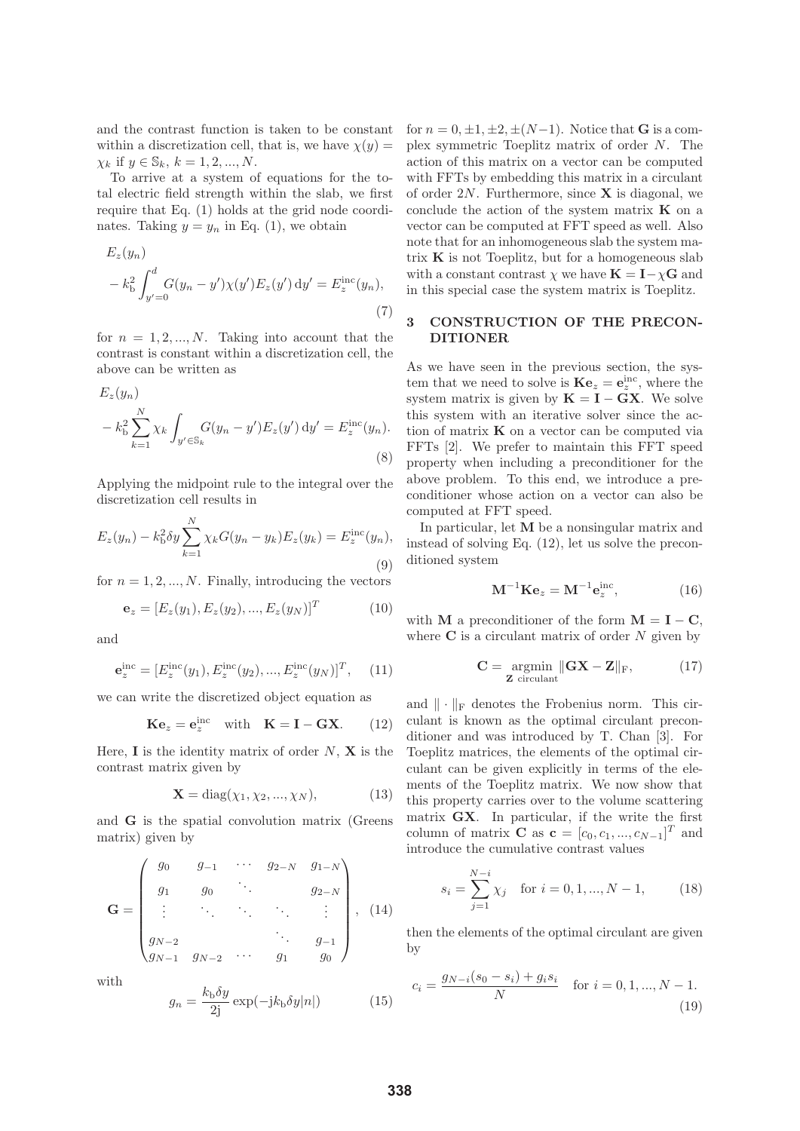and the contrast function is taken to be constant within a discretization cell, that is, we have  $\chi(y) =$  $\chi_k$  if  $y \in \mathbb{S}_k, k = 1, 2, ..., N$ .

To arrive at a system of equations for the total electric field strength within the slab, we first require that Eq. (1) holds at the grid node coordinates. Taking  $y = y_n$  in Eq. (1), we obtain

$$
E_z(y_n) - k_{\rm b}^2 \int_{y'=0}^d G(y_n - y') \chi(y') E_z(y') \, dy' = E_z^{\rm inc}(y_n),
$$
\n(7)

for  $n = 1, 2, ..., N$ . Taking into account that the contrast is constant within a discretization cell, the above can be written as

$$
E_z(y_n) - k_b^2 \sum_{k=1}^N \chi_k \int_{y' \in \mathbb{S}_k} G(y_n - y') E_z(y') \, dy' = E_z^{\text{inc}}(y_n).
$$
\n(8)

Applying the midpoint rule to the integral over the discretization cell results in

$$
E_z(y_n) - k_b^2 \delta y \sum_{k=1}^N \chi_k G(y_n - y_k) E_z(y_k) = E_z^{\text{inc}}(y_n),
$$
\n(9)

for  $n = 1, 2, ..., N$ . Finally, introducing the vectors

$$
\mathbf{e}_z = [E_z(y_1), E_z(y_2), ..., E_z(y_N)]^T
$$
(10)

and

$$
\mathbf{e}_z^{\rm inc} = [E_z^{\rm inc}(y_1), E_z^{\rm inc}(y_2), ..., E_z^{\rm inc}(y_N)]^T, \quad (11)
$$

we can write the discretized object equation as

$$
\mathbf{K}\mathbf{e}_z = \mathbf{e}_z^{\text{inc}} \quad \text{with} \quad \mathbf{K} = \mathbf{I} - \mathbf{G}\mathbf{X}. \tag{12}
$$

Here,  $\mathbf{I}$  is the identity matrix of order  $N$ ,  $\mathbf{X}$  is the contrast matrix given by

$$
\mathbf{X} = \text{diag}(\chi_1, \chi_2, ..., \chi_N), \tag{13}
$$

and **G** is the spatial convolution matrix (Greens matrix) given by

$$
\mathbf{G} = \begin{pmatrix} g_0 & g_{-1} & \cdots & g_{2-N} & g_{1-N} \\ g_1 & g_0 & \ddots & & g_{2-N} \\ \vdots & \ddots & \ddots & \ddots & \vdots \\ g_{N-2} & & & \ddots & g_{-1} \\ g_{N-1} & g_{N-2} & \cdots & g_1 & g_0 \end{pmatrix}, (14)
$$

with

$$
g_n = \frac{k_{\rm b}\delta y}{2j} \exp(-j k_{\rm b}\delta y|n|)
$$
 (15)

for  $n = 0, \pm 1, \pm 2, \pm (N-1)$ . Notice that **G** is a complex symmetric Toeplitz matrix of order N. The action of this matrix on a vector can be computed with FFTs by embedding this matrix in a circulant of order 2N. Furthermore, since **X** is diagonal, we conclude the action of the system matrix **K** on a vector can be computed at FFT speed as well. Also note that for an inhomogeneous slab the system matrix **K** is not Toeplitz, but for a homogeneous slab with a constant contrast  $\chi$  we have  $\mathbf{K} = \mathbf{I} - \chi \mathbf{G}$  and in this special case the system matrix is Toeplitz.

## **3 CONSTRUCTION OF THE PRECON-DITIONER**

As we have seen in the previous section, the system that we need to solve is  $\mathbf{K}\mathbf{e}_z = \mathbf{e}_z^{\text{inc}}$ , where the system matrix is given by  $\mathbf{K} = \mathbf{I} - \mathbf{G}\mathbf{X}$ . We solve this system with an iterative solver since the action of matrix **K** on a vector can be computed via FFTs [2]. We prefer to maintain this FFT speed property when including a preconditioner for the above problem. To this end, we introduce a preconditioner whose action on a vector can also be computed at FFT speed.

In particular, let **M** be a nonsingular matrix and instead of solving Eq. (12), let us solve the preconditioned system

$$
\mathbf{M}^{-1}\mathbf{K}\mathbf{e}_z = \mathbf{M}^{-1}\mathbf{e}_z^{\text{inc}},\tag{16}
$$

with **M** a preconditioner of the form  $M = I - C$ , where  $C$  is a circulant matrix of order  $N$  given by

$$
\mathbf{C} = \underset{\mathbf{Z} \text{ circular}}{\operatorname{argmin}} \|\mathbf{G}\mathbf{X} - \mathbf{Z}\|_{\text{F}},\tag{17}
$$

and  $\|\cdot\|_F$  denotes the Frobenius norm. This circulant is known as the optimal circulant preconditioner and was introduced by T. Chan [3]. For Toeplitz matrices, the elements of the optimal circulant can be given explicitly in terms of the elements of the Toeplitz matrix. We now show that this property carries over to the volume scattering matrix **GX**. In particular, if the write the first column of matrix **C** as  $\mathbf{c} = [c_0, c_1, ..., c_{N-1}]^T$  and introduce the cumulative contrast values

$$
s_i = \sum_{j=1}^{N-i} \chi_j \quad \text{for } i = 0, 1, ..., N - 1,
$$
 (18)

then the elements of the optimal circulant are given by

$$
c_i = \frac{g_{N-i}(s_0 - s_i) + g_i s_i}{N} \quad \text{for } i = 0, 1, ..., N - 1.
$$
\n(19)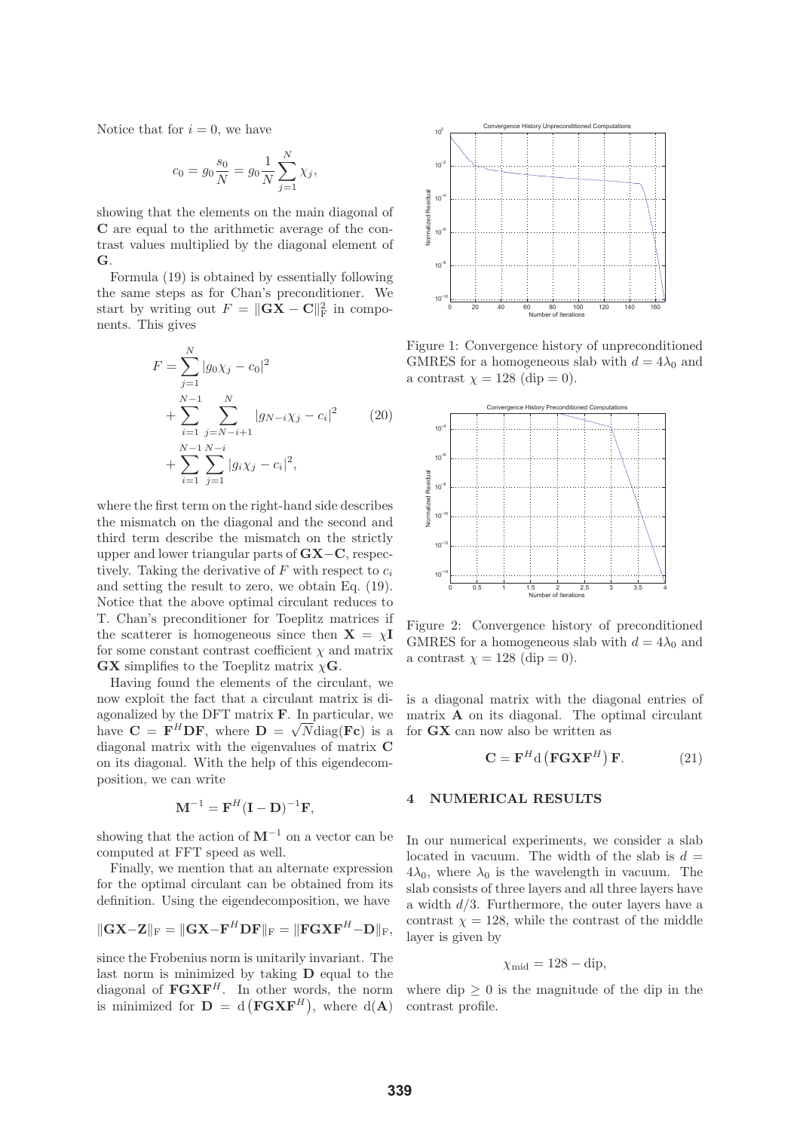Notice that for  $i = 0$ , we have

$$
c_0 = g_0 \frac{s_0}{N} = g_0 \frac{1}{N} \sum_{j=1}^{N} \chi_j,
$$

showing that the elements on the main diagonal of **C** are equal to the arithmetic average of the contrast values multiplied by the diagonal element of **G**.

Formula (19) is obtained by essentially following the same steps as for Chan's preconditioner. We start by writing out  $F = ||\mathbf{G}\mathbf{X} - \mathbf{C}||_F^2$  in components. This gives

$$
F = \sum_{j=1}^{N} |g_0 \chi_j - c_0|^2
$$
  
+ 
$$
\sum_{i=1}^{N-1} \sum_{j=N-i+1}^{N} |g_{N-i} \chi_j - c_i|^2
$$
  
+ 
$$
\sum_{i=1}^{N-1} \sum_{j=1}^{N-i} |g_i \chi_j - c_i|^2,
$$
 (20)

where the first term on the right-hand side describes the mismatch on the diagonal and the second and third term describe the mismatch on the strictly upper and lower triangular parts of **GX**−**C**, respectively. Taking the derivative of  $F$  with respect to  $c_i$ and setting the result to zero, we obtain Eq. (19). Notice that the above optimal circulant reduces to T. Chan's preconditioner for Toeplitz matrices if the scatterer is homogeneous since then  $X = \chi I$ for some constant contrast coefficient  $\chi$  and matrix **GX** simplifies to the Toeplitz matrix  $\chi$ **G**.

Having found the elements of the circulant, we now exploit the fact that a circulant matrix is diagonalized by the DFT matrix **F**. In particular, we have  $\mathbf{C} = \mathbf{F}^H \mathbf{D} \mathbf{F}$ , where  $\mathbf{D} = \sqrt{N} \text{diag}(\mathbf{F} \mathbf{c})$  is a diagonal matrix with the eigenvalues of matrix **C** on its diagonal. With the help of this eigendecomposition, we can write

$$
\mathbf{M}^{-1} = \mathbf{F}^{H} (\mathbf{I} - \mathbf{D})^{-1} \mathbf{F},
$$

showing that the action of  $M^{-1}$  on a vector can be computed at FFT speed as well.

Finally, we mention that an alternate expression for the optimal circulant can be obtained from its definition. Using the eigendecomposition, we have

$$
\|\mathbf{G}\mathbf{X}-\mathbf{Z}\|_{\mathrm{F}}=\|\mathbf{G}\mathbf{X}-\mathbf{F}^H\mathbf{D}\mathbf{F}\|_{\mathrm{F}}=\|\mathbf{F}\mathbf{G}\mathbf{X}\mathbf{F}^H-\mathbf{D}\|_{\mathrm{F}},
$$

since the Frobenius norm is unitarily invariant. The last norm is minimized by taking **D** equal to the diagonal of  $\mathbf{FGXF}^H$ . In other words, the norm is minimized for  $D = d(FG \times F^H)$ , where  $d(A)$ 



Figure 1: Convergence history of unpreconditioned GMRES for a homogeneous slab with  $d = 4\lambda_0$  and a contrast  $\chi = 128$  (dip = 0).



Figure 2: Convergence history of preconditioned GMRES for a homogeneous slab with  $d = 4\lambda_0$  and a contrast  $\chi = 128$  (dip = 0).

is a diagonal matrix with the diagonal entries of matrix **A** on its diagonal. The optimal circulant for **GX** can now also be written as

$$
\mathbf{C} = \mathbf{F}^H \mathbf{d} \left( \mathbf{F} \mathbf{G} \mathbf{X} \mathbf{F}^H \right) \mathbf{F}.
$$
 (21)

## **4 NUMERICAL RESULTS**

In our numerical experiments, we consider a slab located in vacuum. The width of the slab is  $d =$  $4\lambda_0$ , where  $\lambda_0$  is the wavelength in vacuum. The slab consists of three layers and all three layers have a width  $d/3$ . Furthermore, the outer layers have a contrast  $\chi = 128$ , while the contrast of the middle layer is given by

$$
\chi_{\rm mid} = 128 - \text{dip},
$$

where  $\text{dip} > 0$  is the magnitude of the dip in the contrast profile.